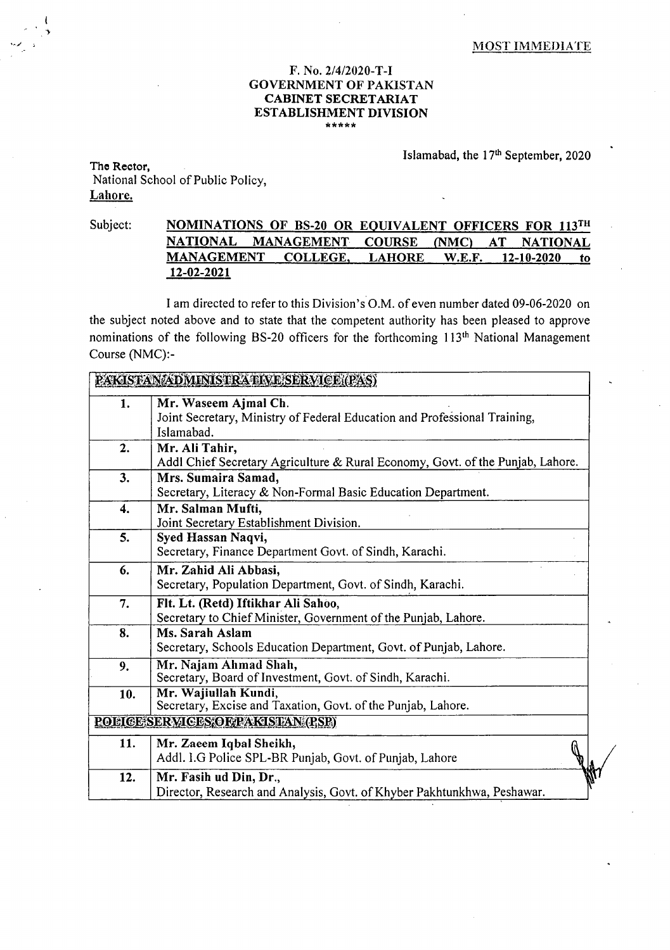## MOST IMMEDIATE

## F. No. 2/4/2020-T-I GOVERNMENT OF PAKISTAN **CABINET SECRETARIAT ESTABLISHMENT DIVISION \*\*\*\*\***

Islamabad, the 17<sup>th</sup> September, 2020

**The Rector,**  National School of Public Policy, Lahore.

## Subject: **NOMINATIONS OF BS-20 OR EQUIVALENT OFFICERS FOR 113TH NATIONAL MANAGEMENT COURSE (NMC) AT NATIONAL MANAGEMENT COLLEGE, LAHORE W.E.F. 12-10-2020 to 12-02-2021**

I am directed to refer to this Division's O.M. of even number dated 09-06-2020 on the subject noted above and to state that the competent authority has been pleased to approve nominations of the following BS-20 officers for the forthcoming 113<sup>th</sup> National Management Course (NMC):-

|                    | PAKISTANADMINISTRATIVE SERVICE (PAS)                                                                  |
|--------------------|-------------------------------------------------------------------------------------------------------|
| 1.                 | Mr. Waseem Ajmal Ch.<br>Joint Secretary, Ministry of Federal Education and Professional Training,     |
|                    | Islamabad.                                                                                            |
| 2.                 | Mr. Ali Tahir,<br>Addl Chief Secretary Agriculture & Rural Economy, Govt. of the Punjab, Lahore.      |
| 3.                 | Mrs. Sumaira Samad,<br>Secretary, Literacy & Non-Formal Basic Education Department.                   |
| $\boldsymbol{4}$ . | Mr. Salman Mufti,<br>Joint Secretary Establishment Division.                                          |
| 5.                 | Syed Hassan Naqvi,<br>Secretary, Finance Department Govt. of Sindh, Karachi.                          |
| 6.                 | Mr. Zahid Ali Abbasi,<br>Secretary, Population Department, Govt. of Sindh, Karachi.                   |
| 7.                 | Flt. Lt. (Retd) Iftikhar Ali Sahoo,<br>Secretary to Chief Minister, Government of the Punjab, Lahore. |
| 8.                 | Ms. Sarah Aslam<br>Secretary, Schools Education Department, Govt. of Punjab, Lahore.                  |
| 9.                 | Mr. Najam Ahmad Shah,<br>Secretary, Board of Investment, Govt. of Sindh, Karachi.                     |
| 10.                | Mr. Wajiullah Kundi,<br>Secretary, Excise and Taxation, Govt. of the Punjab, Lahore.                  |
|                    | <b>ROLLGESERVICES OF PARISTAN (PSP)</b>                                                               |
| 11.                | Mr. Zaeem Iqbal Sheikh,<br>Addl. I.G Police SPL-BR Punjab, Govt. of Punjab, Lahore                    |
| 12.                | Mr. Fasih ud Din, Dr.,                                                                                |
|                    | Director, Research and Analysis, Govt. of Khyber Pakhtunkhwa, Peshawar.                               |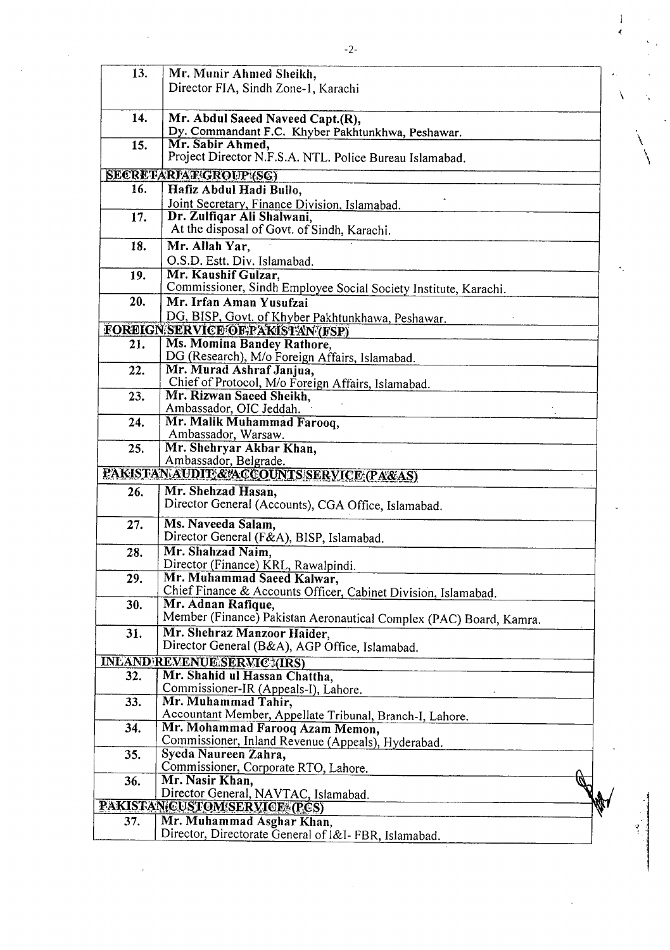| 13. | Mr. Munir Ahmed Sheikh,<br>Director FIA, Sindh Zone-1, Karachi                               |  |
|-----|----------------------------------------------------------------------------------------------|--|
|     |                                                                                              |  |
| 14. | Mr. Abdul Saeed Naveed Capt.(R),                                                             |  |
| 15. | Dy. Commandant F.C. Khyber Pakhtunkhwa, Peshawar.<br>Mr. Sabir Ahmed,                        |  |
|     | Project Director N.F.S.A. NTL. Police Bureau Islamabad.                                      |  |
|     | SECRETARIAT/GROUP!(SC)                                                                       |  |
| 16. | Hafiz Abdul Hadi Bullo,                                                                      |  |
| 17. | Joint Secretary, Finance Division, Islamabad.<br>Dr. Zulfiqar Ali Shalwani,                  |  |
|     | At the disposal of Govt. of Sindh, Karachi.                                                  |  |
| 18. | Mr. Allah Yar,                                                                               |  |
|     | O.S.D. Estt. Div. Islamabad.                                                                 |  |
| 19. | Mr. Kaushif Gulzar,                                                                          |  |
|     | Commissioner, Sindh Employee Social Society Institute, Karachi.                              |  |
| 20. | Mr. Irfan Aman Yusufzai                                                                      |  |
|     | DG, BISP, Govt. of Khyber Pakhtunkhawa, Peshawar.<br>FOREIGN SERVICE OF PAKISTAN (FSP)       |  |
| 21. | Ms. Momina Bandey Rathore,                                                                   |  |
|     | DG (Research), M/o Foreign Affairs, Islamabad.                                               |  |
| 22. | Mr. Murad Ashraf Janjua,                                                                     |  |
|     | Chief of Protocol, M/o Foreign Affairs, Islamabad.                                           |  |
| 23. | Mr. Rizwan Saeed Sheikh,<br>Ambassador, OIC Jeddah.                                          |  |
| 24. | Mr. Malik Muhammad Farooq,                                                                   |  |
|     | Ambassador, Warsaw.                                                                          |  |
| 25. | Mr. Shehryar Akbar Khan,                                                                     |  |
|     | Ambassador, Belgrade.                                                                        |  |
|     | PAKISTAN AUDIT & ACCOUNTS SERVICE (PA&AS)                                                    |  |
| 26. | Mr. Shehzad Hasan,<br>Director General (Accounts), CGA Office, Islamabad.                    |  |
| 27. | Ms. Naveeda Salam,                                                                           |  |
|     | Director General (F&A), BISP, Islamabad.                                                     |  |
| 28. | Mr. Shahzad Naim,                                                                            |  |
|     | Director (Finance) KRL, Rawalpindi.                                                          |  |
| 29. | Mr. Muhammad Saeed Kalwar,<br>Chief Finance & Accounts Officer, Cabinet Division, Islamabad. |  |
| 30. | Mr. Adnan Rafique,                                                                           |  |
|     | Member (Finance) Pakistan Aeronautical Complex (PAC) Board, Kamra.                           |  |
| 31. | Mr. Shehraz Manzoor Haider,                                                                  |  |
|     | Director General (B&A), AGP Office, Islamabad.                                               |  |
|     | <b>INLAND REVENUE SERVIC (IRS)</b>                                                           |  |
| 32. | Mr. Shahid ul Hassan Chattha,                                                                |  |
| 33. | Commissioner-IR (Appeals-I), Lahore.<br>Mr. Muhammad Tahir,                                  |  |
|     | Accountant Member, Appellate Tribunal, Branch-I, Lahore.                                     |  |
| 34. | Mr. Mohammad Farooq Azam Memon,                                                              |  |
|     | Commissioner, Inland Revenue (Appeals), Hyderabad.                                           |  |
| 35. | Syeda Naureen Zahra,                                                                         |  |
|     | Commissioner, Corporate RTO, Lahore.                                                         |  |
| 36. | Mr. Nasir Khan,<br>Director General, NAVTAC, Islamabad.                                      |  |
|     | PAKISTAN CUSTOM SERVICE (PCS)                                                                |  |
| 37. | Mr. Muhammad Asghar Khan,                                                                    |  |
|     | Director, Directorate General of I&I-FBR, Islamabad.                                         |  |
|     |                                                                                              |  |

 $\mathbf i$ 

À.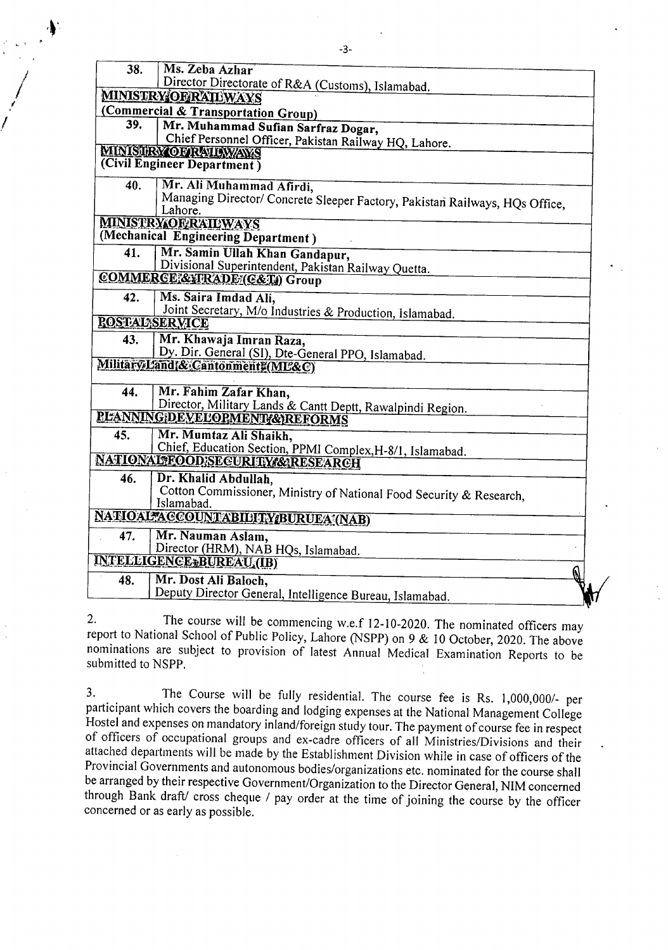| 38.<br>Ms. Zeba Azhar<br>Director Directorate of R&A (Customs), Islamabad.<br><b>MINISTRY OERAILWAYS</b><br>(Commercial & Transportation Group)<br>39.<br>Mr. Muhammad Sufian Sarfraz Dogar,<br>Chief Personnel Officer, Pakistan Railway HQ, Lahore.<br><b>MINISTRY OF RAILWAYS</b><br>(Civil Engineer Department) |  |
|---------------------------------------------------------------------------------------------------------------------------------------------------------------------------------------------------------------------------------------------------------------------------------------------------------------------|--|
|                                                                                                                                                                                                                                                                                                                     |  |
|                                                                                                                                                                                                                                                                                                                     |  |
|                                                                                                                                                                                                                                                                                                                     |  |
|                                                                                                                                                                                                                                                                                                                     |  |
|                                                                                                                                                                                                                                                                                                                     |  |
|                                                                                                                                                                                                                                                                                                                     |  |
|                                                                                                                                                                                                                                                                                                                     |  |
| 40.<br>Mr. Ali Muhammad Afirdi,                                                                                                                                                                                                                                                                                     |  |
| Managing Director/ Concrete Sleeper Factory, Pakistan Railways, HQs Office,<br>Lahore.                                                                                                                                                                                                                              |  |
| <b>MINISTRY OF RAILWAYS</b>                                                                                                                                                                                                                                                                                         |  |
| (Mechanical Engineering Department)                                                                                                                                                                                                                                                                                 |  |
| Mr. Samin Ullah Khan Gandapur,<br>41.                                                                                                                                                                                                                                                                               |  |
| Divisional Superintendent, Pakistan Railway Quetta.                                                                                                                                                                                                                                                                 |  |
| COMMERCE & FRADE (C&T) Group                                                                                                                                                                                                                                                                                        |  |
| 42.<br>Ms. Saira Imdad Ali.                                                                                                                                                                                                                                                                                         |  |
| Joint Secretary, M/o Industries & Production, Islamabad.                                                                                                                                                                                                                                                            |  |
| <b><i>ROSTAL SERVICE</i></b>                                                                                                                                                                                                                                                                                        |  |
| Mr. Khawaja Imran Raza,<br>43.                                                                                                                                                                                                                                                                                      |  |
| Dy. Dir. General (SI), Dte-General PPO, Islamabad.                                                                                                                                                                                                                                                                  |  |
| Military Land & Cantonment ME&C)                                                                                                                                                                                                                                                                                    |  |
| Mr. Fahim Zafar Khan,<br>44.                                                                                                                                                                                                                                                                                        |  |
| Director, Military Lands & Cantt Deptt, Rawalpindi Region.                                                                                                                                                                                                                                                          |  |
| <b>PLANNING DEVELOPMENT &amp; REFORMS</b>                                                                                                                                                                                                                                                                           |  |
| Mr. Mumtaz Ali Shaikh,<br>45.                                                                                                                                                                                                                                                                                       |  |
| Chief, Education Section, PPMI Complex, H-8/1, Islamabad.                                                                                                                                                                                                                                                           |  |
| NATIONALTEOOD;SECURITY/&RESEARCH                                                                                                                                                                                                                                                                                    |  |
| Dr. Khalid Abdullah,<br>46.                                                                                                                                                                                                                                                                                         |  |
| Cotton Commissioner, Ministry of National Food Security & Research,                                                                                                                                                                                                                                                 |  |
| Islamabad.                                                                                                                                                                                                                                                                                                          |  |
| NATIOAL ACCOUNTABILITY BURUEA (NAB)                                                                                                                                                                                                                                                                                 |  |
| Mr. Nauman Aslam,<br>47.                                                                                                                                                                                                                                                                                            |  |
| Director (HRM), NAB HQs, Islamabad.                                                                                                                                                                                                                                                                                 |  |
| INTELLIGENCE: BUREAU (IB)                                                                                                                                                                                                                                                                                           |  |
|                                                                                                                                                                                                                                                                                                                     |  |
| Mr. Dost Ali Baloch,<br>48.                                                                                                                                                                                                                                                                                         |  |

The **course** will be **commencing w.e.f 12-10-2020. The** nominated officers **may**   $2.$ report to National School of Public Policy, Lahore (NSPP) on 9 & 10 October, 2020. The **above**  nominations are subject to provision of **latest Annual Medical Examination Reports to** be submitted to NSPP.

The Course will be fully residential. The course fee is Rs. 1,000,000/- per 3. participant which covers the boarding and lodging **expenses at the National Management** College Hostel and expenses on mandatory inland/foreign study tour. The payment **of course fee in** respect of officers of occupational groups and ex-cadre officers of all Ministries/Divisions and their attached departments will be made by the Establishment Division while in case of officers of the Provincial Governments and autonomous bodies/organizations etc. nominated for the course shall be arranged by their respective Government/Organization to the Director General, NIM concerned through Bank draft/ cross cheque / pay order at the time of joining the course by the officer concerned or as early as possible.